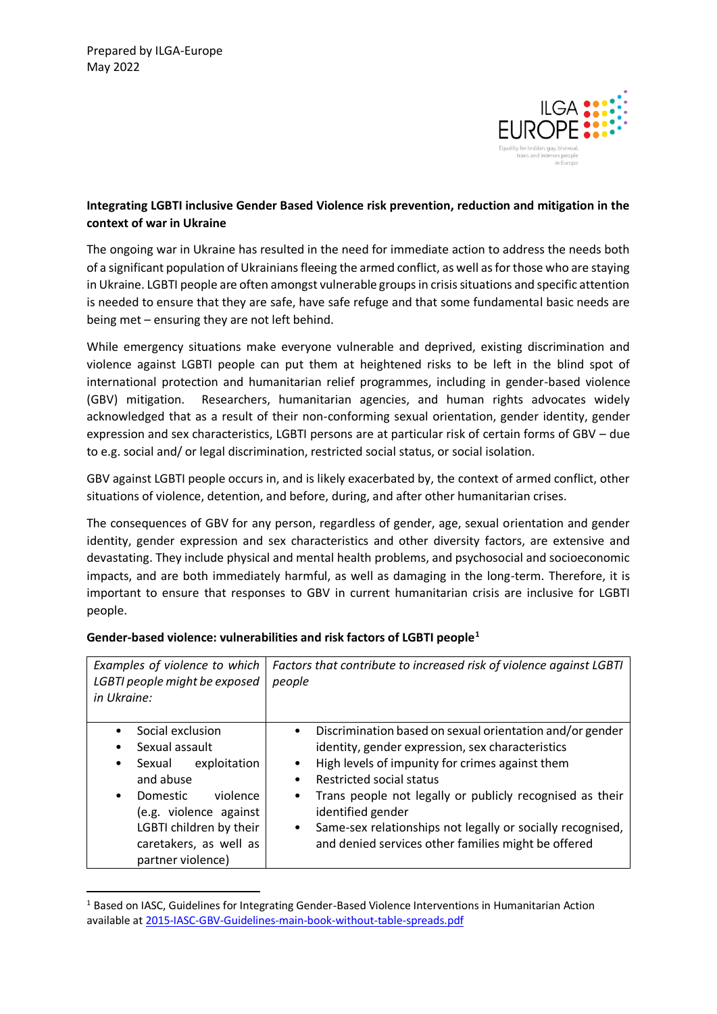**.** 



# **Integrating LGBTI inclusive Gender Based Violence risk prevention, reduction and mitigation in the context of war in Ukraine**

The ongoing war in Ukraine has resulted in the need for immediate action to address the needs both of a significant population of Ukrainians fleeing the armed conflict, as well as for those who are staying in Ukraine. LGBTI people are often amongst vulnerable groups in crisis situations and specific attention is needed to ensure that they are safe, have safe refuge and that some fundamental basic needs are being met – ensuring they are not left behind.

While emergency situations make everyone vulnerable and deprived, existing discrimination and violence against LGBTI people can put them at heightened risks to be left in the blind spot of international protection and humanitarian relief programmes, including in gender-based violence (GBV) mitigation. Researchers, humanitarian agencies, and human rights advocates widely acknowledged that as a result of their non-conforming sexual orientation, gender identity, gender expression and sex characteristics, LGBTI persons are at particular risk of certain forms of GBV – due to e.g. social and/ or legal discrimination, restricted social status, or social isolation.

GBV against LGBTI people occurs in, and is likely exacerbated by, the context of armed conflict, other situations of violence, detention, and before, during, and after other humanitarian crises.

The consequences of GBV for any person, regardless of gender, age, sexual orientation and gender identity, gender expression and sex characteristics and other diversity factors, are extensive and devastating. They include physical and mental health problems, and psychosocial and socioeconomic impacts, and are both immediately harmful, as well as damaging in the long-term. Therefore, it is important to ensure that responses to GBV in current humanitarian crisis are inclusive for LGBTI people.

| Examples of violence to which<br>LGBTI people might be exposed<br>in Ukraine:                                                                                                                                   | Factors that contribute to increased risk of violence against LGBTI<br>people                                                                                                                                                                                                                                                                                                                                                      |
|-----------------------------------------------------------------------------------------------------------------------------------------------------------------------------------------------------------------|------------------------------------------------------------------------------------------------------------------------------------------------------------------------------------------------------------------------------------------------------------------------------------------------------------------------------------------------------------------------------------------------------------------------------------|
| Social exclusion<br>Sexual assault<br>exploitation<br>Sexual<br>٠<br>and abuse<br>violence<br>Domestic<br>٠<br>(e.g. violence against<br>LGBTI children by their<br>caretakers, as well as<br>partner violence) | Discrimination based on sexual orientation and/or gender<br>identity, gender expression, sex characteristics<br>High levels of impunity for crimes against them<br><b>Restricted social status</b><br>Trans people not legally or publicly recognised as their<br>$\bullet$<br>identified gender<br>Same-sex relationships not legally or socially recognised,<br>$\bullet$<br>and denied services other families might be offered |

# **Gender-based violence: vulnerabilities and risk factors of LGBTI people<sup>1</sup>**

 $1$  Based on IASC. Guidelines for Integrating Gender-Based Violence Interventions in Humanitarian Action available a[t 2015-IASC-GBV-Guidelines-main-book-without-table-spreads.pdf](file://///192.168.20.12/datas/8%20NEW%20Policy/Policy%20Areas/Asylum%20and%20Migration/Briefing%20by%20ILGA-Europe%20on%20LGBTI%20Asylum%20issues/LGBTI%20inclusive%20GBV%20response%20in%20humanitarian%20context/resources%20used/2015-IASC-GBV-Guidelines-main-book-without-table-spreads.pdf)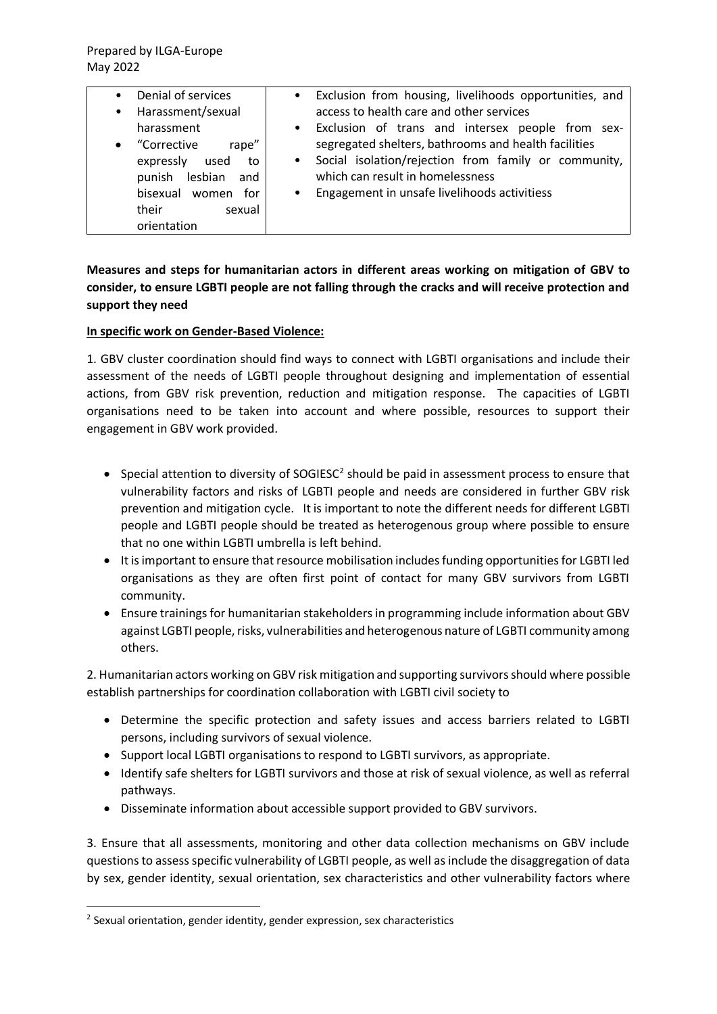| Denial of services<br>$\bullet$<br>Harassment/sexual<br>$\bullet$                                                                                      | Exclusion from housing, livelihoods opportunities, and<br>$\bullet$<br>access to health care and other services                                                                                                                                                                             |
|--------------------------------------------------------------------------------------------------------------------------------------------------------|---------------------------------------------------------------------------------------------------------------------------------------------------------------------------------------------------------------------------------------------------------------------------------------------|
| harassment<br>• "Corrective<br>rape"<br>expressly<br>used<br>to<br>lesbian<br>punish<br>and<br>bisexual women<br>for<br>their<br>sexual<br>orientation | Exclusion of trans and intersex people from sex-<br>$\bullet$<br>segregated shelters, bathrooms and health facilities<br>Social isolation/rejection from family or community,<br>$\bullet$<br>which can result in homelessness<br>Engagement in unsafe livelihoods activitiess<br>$\bullet$ |

# **Measures and steps for humanitarian actors in different areas working on mitigation of GBV to consider, to ensure LGBTI people are not falling through the cracks and will receive protection and support they need**

### **In specific work on Gender-Based Violence:**

1. GBV cluster coordination should find ways to connect with LGBTI organisations and include their assessment of the needs of LGBTI people throughout designing and implementation of essential actions, from GBV risk prevention, reduction and mitigation response. The capacities of LGBTI organisations need to be taken into account and where possible, resources to support their engagement in GBV work provided.

- Special attention to diversity of SOGIESC<sup>2</sup> should be paid in assessment process to ensure that vulnerability factors and risks of LGBTI people and needs are considered in further GBV risk prevention and mitigation cycle. It is important to note the different needs for different LGBTI people and LGBTI people should be treated as heterogenous group where possible to ensure that no one within LGBTI umbrella is left behind.
- It is important to ensure that resource mobilisation includes funding opportunities for LGBTI led organisations as they are often first point of contact for many GBV survivors from LGBTI community.
- Ensure trainings for humanitarian stakeholders in programming include information about GBV against LGBTI people, risks, vulnerabilities and heterogenous nature of LGBTI community among others.

2. Humanitarian actors working on GBV risk mitigation and supporting survivors should where possible establish partnerships for coordination collaboration with LGBTI civil society to

- Determine the specific protection and safety issues and access barriers related to LGBTI persons, including survivors of sexual violence.
- Support local LGBTI organisations to respond to LGBTI survivors, as appropriate.
- Identify safe shelters for LGBTI survivors and those at risk of sexual violence, as well as referral pathways.
- Disseminate information about accessible support provided to GBV survivors.

3. Ensure that all assessments, monitoring and other data collection mechanisms on GBV include questions to assess specific vulnerability of LGBTI people, as well as include the disaggregation of data by sex, gender identity, sexual orientation, sex characteristics and other vulnerability factors where

-

<sup>&</sup>lt;sup>2</sup> Sexual orientation, gender identity, gender expression, sex characteristics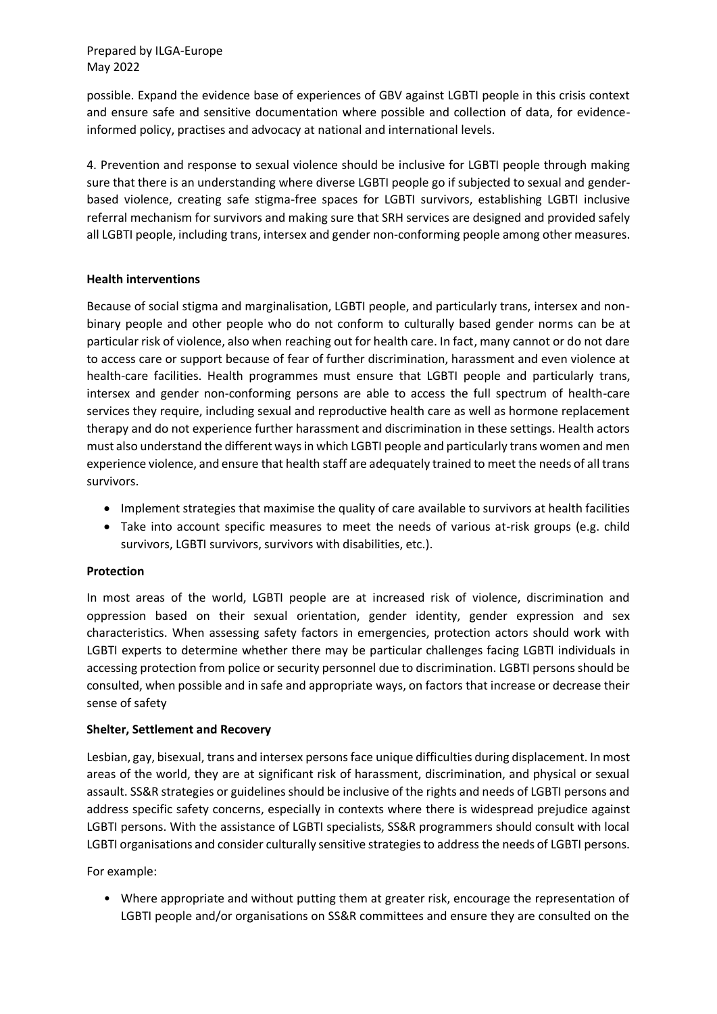Prepared by ILGA-Europe May 2022

possible. Expand the evidence base of experiences of GBV against LGBTI people in this crisis context and ensure safe and sensitive documentation where possible and collection of data, for evidenceinformed policy, practises and advocacy at national and international levels.

4. Prevention and response to sexual violence should be inclusive for LGBTI people through making sure that there is an understanding where diverse LGBTI people go if subjected to sexual and genderbased violence, creating safe stigma-free spaces for LGBTI survivors, establishing LGBTI inclusive referral mechanism for survivors and making sure that SRH services are designed and provided safely all LGBTI people, including trans, intersex and gender non-conforming people among other measures.

### **Health interventions**

Because of social stigma and marginalisation, LGBTI people, and particularly trans, intersex and nonbinary people and other people who do not conform to culturally based gender norms can be at particular risk of violence, also when reaching out for health care. In fact, many cannot or do not dare to access care or support because of fear of further discrimination, harassment and even violence at health-care facilities. Health programmes must ensure that LGBTI people and particularly trans, intersex and gender non-conforming persons are able to access the full spectrum of health-care services they require, including sexual and reproductive health care as well as hormone replacement therapy and do not experience further harassment and discrimination in these settings. Health actors must also understand the different ways in which LGBTI people and particularly trans women and men experience violence, and ensure that health staff are adequately trained to meet the needs of all trans survivors.

- Implement strategies that maximise the quality of care available to survivors at health facilities
- Take into account specific measures to meet the needs of various at-risk groups (e.g. child survivors, LGBTI survivors, survivors with disabilities, etc.).

### **Protection**

In most areas of the world, LGBTI people are at increased risk of violence, discrimination and oppression based on their sexual orientation, gender identity, gender expression and sex characteristics. When assessing safety factors in emergencies, protection actors should work with LGBTI experts to determine whether there may be particular challenges facing LGBTI individuals in accessing protection from police or security personnel due to discrimination. LGBTI persons should be consulted, when possible and in safe and appropriate ways, on factors that increase or decrease their sense of safety

### **Shelter, Settlement and Recovery**

Lesbian, gay, bisexual, trans and intersex persons face unique difficulties during displacement. In most areas of the world, they are at significant risk of harassment, discrimination, and physical or sexual assault. SS&R strategies or guidelines should be inclusive of the rights and needs of LGBTI persons and address specific safety concerns, especially in contexts where there is widespread prejudice against LGBTI persons. With the assistance of LGBTI specialists, SS&R programmers should consult with local LGBTI organisations and consider culturally sensitive strategies to address the needs of LGBTI persons.

For example:

• Where appropriate and without putting them at greater risk, encourage the representation of LGBTI people and/or organisations on SS&R committees and ensure they are consulted on the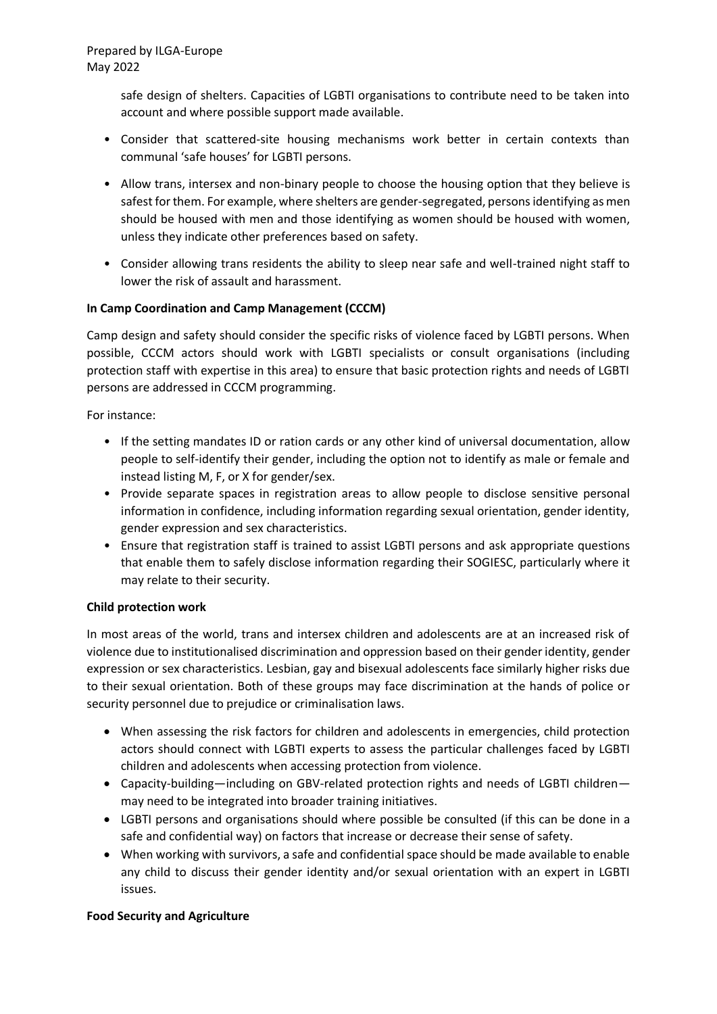## Prepared by ILGA-Europe May 2022

safe design of shelters. Capacities of LGBTI organisations to contribute need to be taken into account and where possible support made available.

- Consider that scattered-site housing mechanisms work better in certain contexts than communal 'safe houses' for LGBTI persons.
- Allow trans, intersex and non-binary people to choose the housing option that they believe is safest for them. For example, where shelters are gender-segregated, persons identifying as men should be housed with men and those identifying as women should be housed with women, unless they indicate other preferences based on safety.
- Consider allowing trans residents the ability to sleep near safe and well-trained night staff to lower the risk of assault and harassment.

# **In Camp Coordination and Camp Management (CCCM)**

Camp design and safety should consider the specific risks of violence faced by LGBTI persons. When possible, CCCM actors should work with LGBTI specialists or consult organisations (including protection staff with expertise in this area) to ensure that basic protection rights and needs of LGBTI persons are addressed in CCCM programming.

For instance:

- If the setting mandates ID or ration cards or any other kind of universal documentation, allow people to self-identify their gender, including the option not to identify as male or female and instead listing M, F, or X for gender/sex.
- Provide separate spaces in registration areas to allow people to disclose sensitive personal information in confidence, including information regarding sexual orientation, gender identity, gender expression and sex characteristics.
- Ensure that registration staff is trained to assist LGBTI persons and ask appropriate questions that enable them to safely disclose information regarding their SOGIESC, particularly where it may relate to their security.

### **Child protection work**

In most areas of the world, trans and intersex children and adolescents are at an increased risk of violence due to institutionalised discrimination and oppression based on their gender identity, gender expression or sex characteristics. Lesbian, gay and bisexual adolescents face similarly higher risks due to their sexual orientation. Both of these groups may face discrimination at the hands of police or security personnel due to prejudice or criminalisation laws.

- When assessing the risk factors for children and adolescents in emergencies, child protection actors should connect with LGBTI experts to assess the particular challenges faced by LGBTI children and adolescents when accessing protection from violence.
- Capacity-building—including on GBV-related protection rights and needs of LGBTI children may need to be integrated into broader training initiatives.
- LGBTI persons and organisations should where possible be consulted (if this can be done in a safe and confidential way) on factors that increase or decrease their sense of safety.
- When working with survivors, a safe and confidential space should be made available to enable any child to discuss their gender identity and/or sexual orientation with an expert in LGBTI issues.

### **Food Security and Agriculture**